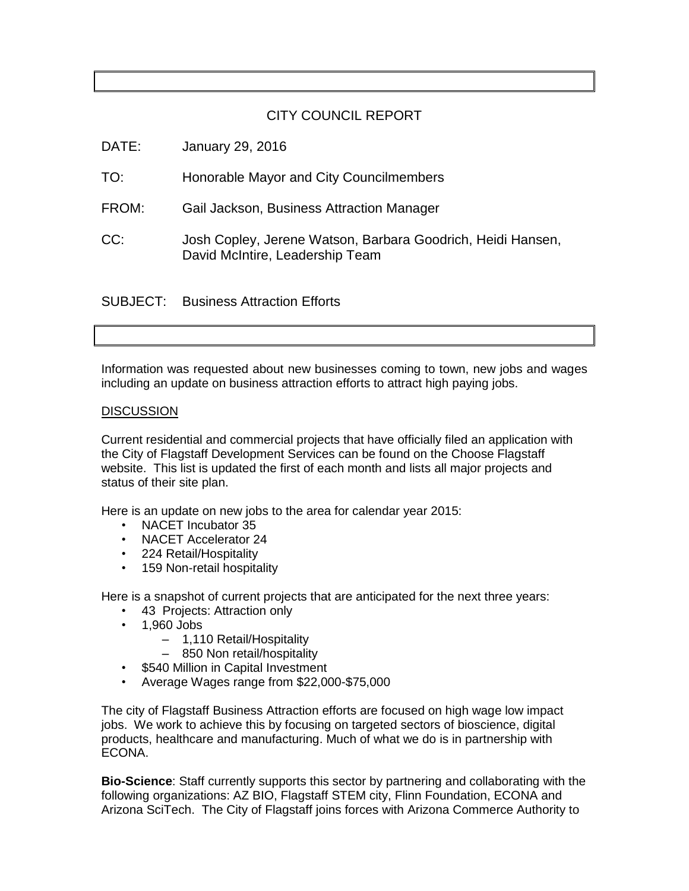## CITY COUNCIL REPORT

| DATE: | January 29, 2016                                                                               |
|-------|------------------------------------------------------------------------------------------------|
| TO:   | Honorable Mayor and City Councilmembers                                                        |
| FROM: | Gail Jackson, Business Attraction Manager                                                      |
| CC:   | Josh Copley, Jerene Watson, Barbara Goodrich, Heidi Hansen,<br>David McIntire, Leadership Team |
|       | <b>SUBJECT:</b> Business Attraction Efforts                                                    |

Information was requested about new businesses coming to town, new jobs and wages including an update on business attraction efforts to attract high paying jobs.

## **DISCUSSION**

Current residential and commercial projects that have officially filed an application with the City of Flagstaff Development Services can be found on the Choose Flagstaff website. This list is updated the first of each month and lists all major projects and status of their site plan.

Here is an update on new jobs to the area for calendar year 2015:

- NACET Incubator 35
- NACET Accelerator 24
- 224 Retail/Hospitality
- 159 Non-retail hospitality

Here is a snapshot of current projects that are anticipated for the next three years:

- 43 Projects: Attraction only
- 1,960 Jobs
	- ‒ 1,110 Retail/Hospitality
	- ‒ 850 Non retail/hospitality
- \$540 Million in Capital Investment
- Average Wages range from \$22,000-\$75,000

The city of Flagstaff Business Attraction efforts are focused on high wage low impact jobs. We work to achieve this by focusing on targeted sectors of bioscience, digital products, healthcare and manufacturing. Much of what we do is in partnership with ECONA.

**Bio-Science**: Staff currently supports this sector by partnering and collaborating with the following organizations: AZ BIO, Flagstaff STEM city, Flinn Foundation, ECONA and Arizona SciTech. The City of Flagstaff joins forces with Arizona Commerce Authority to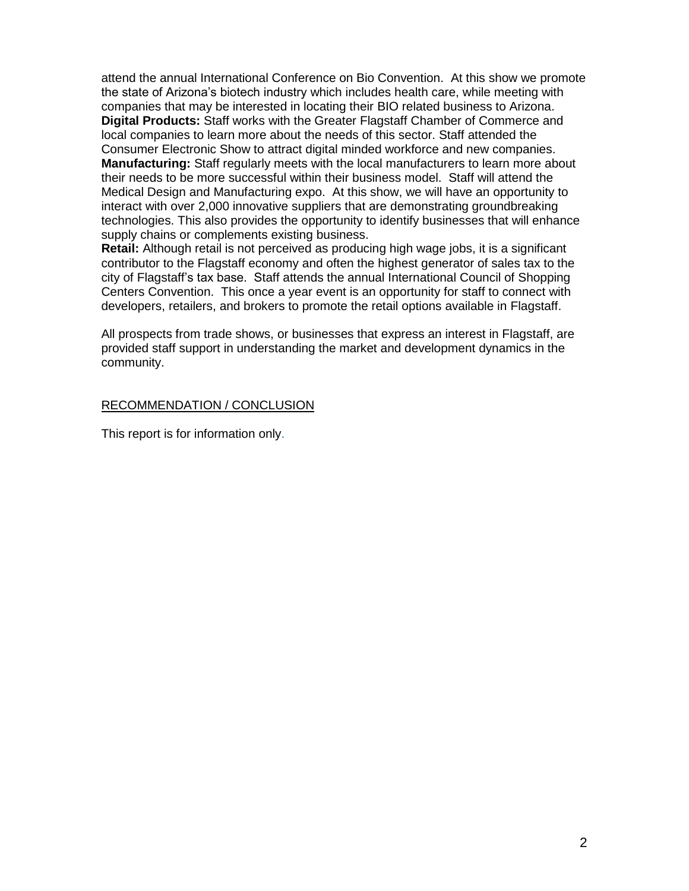attend the annual International Conference on Bio Convention. At this show we promote the state of Arizona's biotech industry which includes health care, while meeting with companies that may be interested in locating their BIO related business to Arizona. **Digital Products:** Staff works with the Greater Flagstaff Chamber of Commerce and local companies to learn more about the needs of this sector. Staff attended the Consumer Electronic Show to attract digital minded workforce and new companies. **Manufacturing:** Staff regularly meets with the local manufacturers to learn more about their needs to be more successful within their business model. Staff will attend the Medical Design and Manufacturing expo. At this show, we will have an opportunity to interact with over 2,000 innovative suppliers that are demonstrating groundbreaking technologies. This also provides the opportunity to identify businesses that will enhance supply chains or complements existing business.

**Retail:** Although retail is not perceived as producing high wage jobs, it is a significant contributor to the Flagstaff economy and often the highest generator of sales tax to the city of Flagstaff's tax base. Staff attends the annual International Council of Shopping Centers Convention. This once a year event is an opportunity for staff to connect with developers, retailers, and brokers to promote the retail options available in Flagstaff.

All prospects from trade shows, or businesses that express an interest in Flagstaff, are provided staff support in understanding the market and development dynamics in the community.

## RECOMMENDATION / CONCLUSION

This report is for information only.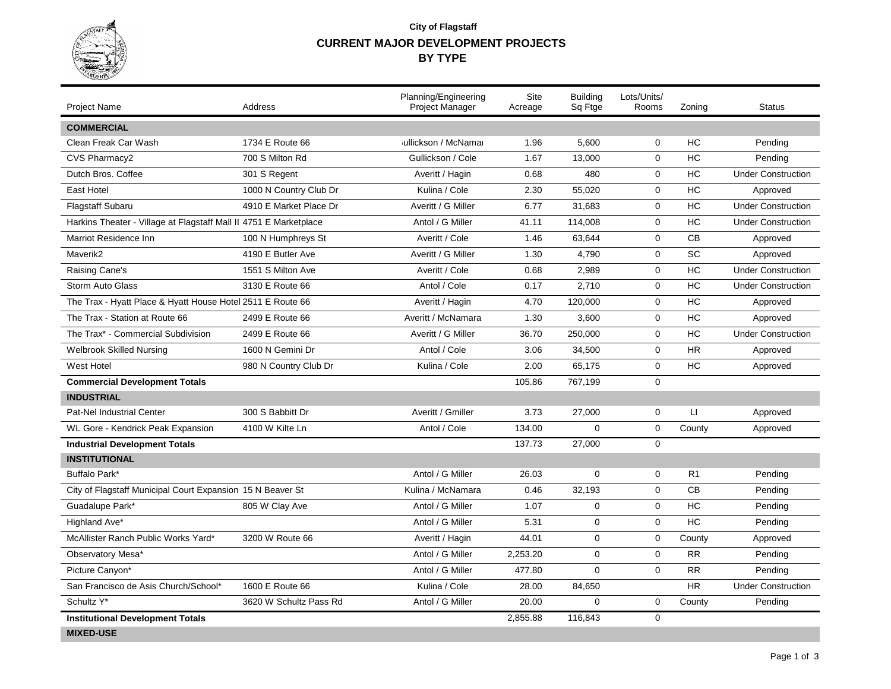

## **CURRENT MAJOR DEVELOPMENT PROJECTS City of Flagstaff BY TYPE**

| <b>Project Name</b>                                               | <b>Address</b>         | Planning/Engineering<br>Project Manager | Site<br>Acreage | <b>Building</b><br>Sq Ftge | Lots/Units/<br>Rooms | Zoning         | <b>Status</b>             |
|-------------------------------------------------------------------|------------------------|-----------------------------------------|-----------------|----------------------------|----------------------|----------------|---------------------------|
| <b>COMMERCIAL</b>                                                 |                        |                                         |                 |                            |                      |                |                           |
| Clean Freak Car Wash                                              | 1734 E Route 66        | jullickson / McNamai                    | 1.96            | 5.600                      | $\mathbf 0$          | HC             | Pending                   |
| CVS Pharmacy2                                                     | 700 S Milton Rd        | Gullickson / Cole                       | 1.67            | 13,000                     | $\mathbf 0$          | HC             | Pending                   |
| Dutch Bros. Coffee                                                | 301 S Regent           | Averitt / Hagin                         | 0.68            | 480                        | $\mathbf 0$          | HC             | <b>Under Construction</b> |
| East Hotel                                                        | 1000 N Country Club Dr | Kulina / Cole                           | 2.30            | 55,020                     | 0                    | HC             | Approved                  |
| <b>Flagstaff Subaru</b>                                           | 4910 E Market Place Dr | Averitt / G Miller                      | 6.77            | 31,683                     | 0                    | HC             | <b>Under Construction</b> |
| Harkins Theater - Village at Flagstaff Mall II 4751 E Marketplace |                        | Antol / G Miller                        | 41.11           | 114,008                    | $\mathbf 0$          | HC             | <b>Under Construction</b> |
| Marriot Residence Inn                                             | 100 N Humphreys St     | Averitt / Cole                          | 1.46            | 63,644                     | $\mathbf 0$          | <b>CB</b>      | Approved                  |
| Maverik2                                                          | 4190 E Butler Ave      | Averitt / G Miller                      | 1.30            | 4.790                      | $\mathbf 0$          | <b>SC</b>      | Approved                  |
| Raising Cane's                                                    | 1551 S Milton Ave      | Averitt / Cole                          | 0.68            | 2,989                      | $\mathbf 0$          | HC             | <b>Under Construction</b> |
| <b>Storm Auto Glass</b>                                           | 3130 E Route 66        | Antol / Cole                            | 0.17            | 2,710                      | $\mathbf 0$          | HC             | <b>Under Construction</b> |
| The Trax - Hyatt Place & Hyatt House Hotel 2511 E Route 66        |                        | Averitt / Hagin                         | 4.70            | 120,000                    | 0                    | HC             | Approved                  |
| The Trax - Station at Route 66                                    | 2499 E Route 66        | Averitt / McNamara                      | 1.30            | 3.600                      | $\mathbf 0$          | HC             | Approved                  |
| The Trax* - Commercial Subdivision                                | 2499 E Route 66        | Averitt / G Miller                      | 36.70           | 250,000                    | $\mathbf 0$          | HC             | <b>Under Construction</b> |
| <b>Welbrook Skilled Nursing</b>                                   | 1600 N Gemini Dr       | Antol / Cole                            | 3.06            | 34,500                     | $\mathbf 0$          | <b>HR</b>      | Approved                  |
| <b>West Hotel</b>                                                 | 980 N Country Club Dr  | Kulina / Cole                           | 2.00            | 65,175                     | 0                    | HC             | Approved                  |
| <b>Commercial Development Totals</b>                              |                        |                                         | 105.86          | 767,199                    | $\mathbf 0$          |                |                           |
| <b>INDUSTRIAL</b>                                                 |                        |                                         |                 |                            |                      |                |                           |
| <b>Pat-Nel Industrial Center</b>                                  | 300 S Babbitt Dr       | Averitt / Gmiller                       | 3.73            | 27,000                     | $\mathbf 0$          | LI             | Approved                  |
| WL Gore - Kendrick Peak Expansion                                 | 4100 W Kilte Ln        | Antol / Cole                            | 134.00          | $\mathbf 0$                | $\mathbf 0$          | County         | Approved                  |
| <b>Industrial Development Totals</b>                              |                        |                                         | 137.73          | 27,000                     | $\mathbf 0$          |                |                           |
| <b>INSTITUTIONAL</b>                                              |                        |                                         |                 |                            |                      |                |                           |
| Buffalo Park*                                                     |                        | Antol / G Miller                        | 26.03           | $\mathbf 0$                | $\mathbf 0$          | R <sub>1</sub> | Pending                   |
| City of Flagstaff Municipal Court Expansion 15 N Beaver St        |                        | Kulina / McNamara                       | 0.46            | 32,193                     | $\mathbf 0$          | <b>CB</b>      | Pending                   |
| Guadalupe Park*                                                   | 805 W Clay Ave         | Antol / G Miller                        | 1.07            | $\Omega$                   | $\mathbf 0$          | HC             | Pending                   |
| Highland Ave*                                                     |                        | Antol / G Miller                        | 5.31            | $\mathbf 0$                | $\mathbf 0$          | HC             | Pending                   |
| McAllister Ranch Public Works Yard*                               | 3200 W Route 66        | Averitt / Hagin                         | 44.01           | $\mathbf 0$                | 0                    | County         | Approved                  |
| Observatory Mesa*                                                 |                        | Antol / G Miller                        | 2,253.20        | $\mathbf 0$                | $\mathbf 0$          | <b>RR</b>      | Pending                   |
| Picture Canyon*                                                   |                        | Antol / G Miller                        | 477.80          | $\Omega$                   | $\Omega$             | <b>RR</b>      | Pending                   |
| San Francisco de Asis Church/School*                              | 1600 E Route 66        | Kulina / Cole                           | 28.00           | 84,650                     |                      | <b>HR</b>      | <b>Under Construction</b> |
| Schultz Y*                                                        | 3620 W Schultz Pass Rd | Antol / G Miller                        | 20.00           | $\mathbf 0$                | 0                    | County         | Pending                   |
| <b>Institutional Development Totals</b><br><b>MIXED-USE</b>       |                        |                                         | 2.855.88        | 116.843                    | $\mathbf 0$          |                |                           |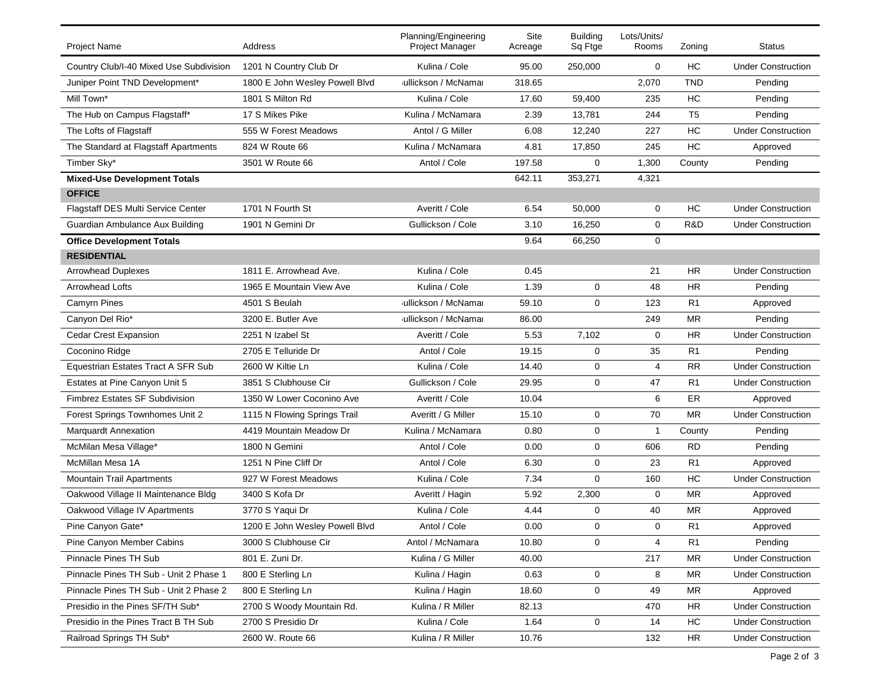| <b>Project Name</b>                       | Address                        | Planning/Engineering<br>Project Manager | Site<br>Acreage | <b>Building</b><br>Sq Ftge | Lots/Units/<br>Rooms | Zoning         | <b>Status</b>             |
|-------------------------------------------|--------------------------------|-----------------------------------------|-----------------|----------------------------|----------------------|----------------|---------------------------|
| Country Club/I-40 Mixed Use Subdivision   | 1201 N Country Club Dr         | Kulina / Cole                           | 95.00           | 250,000                    | 0                    | HC             | <b>Under Construction</b> |
| Juniper Point TND Development*            | 1800 E John Wesley Powell Blvd | jullickson / McNamar                    | 318.65          |                            | 2,070                | <b>TND</b>     | Pending                   |
| Mill Town*                                | 1801 S Milton Rd               | Kulina / Cole                           | 17.60           | 59,400                     | 235                  | HC             | Pending                   |
| The Hub on Campus Flagstaff*              | 17 S Mikes Pike                | Kulina / McNamara                       | 2.39            | 13,781                     | 244                  | T <sub>5</sub> | Pending                   |
| The Lofts of Flagstaff                    | 555 W Forest Meadows           | Antol / G Miller                        | 6.08            | 12,240                     | 227                  | HC             | <b>Under Construction</b> |
| The Standard at Flagstaff Apartments      | 824 W Route 66                 | Kulina / McNamara                       | 4.81            | 17,850                     | 245                  | <b>HC</b>      | Approved                  |
| Timber Sky*                               | 3501 W Route 66                | Antol / Cole                            | 197.58          | 0                          | 1,300                | County         | Pending                   |
| <b>Mixed-Use Development Totals</b>       |                                |                                         | 642.11          | 353,271                    | 4,321                |                |                           |
| <b>OFFICE</b>                             |                                |                                         |                 |                            |                      |                |                           |
| <b>Flagstaff DES Multi Service Center</b> | 1701 N Fourth St               | Averitt / Cole                          | 6.54            | 50,000                     | 0                    | HC             | <b>Under Construction</b> |
| Guardian Ambulance Aux Building           | 1901 N Gemini Dr               | Gullickson / Cole                       | 3.10            | 16,250                     | $\mathbf 0$          | R&D            | <b>Under Construction</b> |
| <b>Office Development Totals</b>          |                                |                                         | 9.64            | 66,250                     | 0                    |                |                           |
| <b>RESIDENTIAL</b>                        |                                |                                         |                 |                            |                      |                |                           |
| <b>Arrowhead Duplexes</b>                 | 1811 E. Arrowhead Ave.         | Kulina / Cole                           | 0.45            |                            | 21                   | HR             | <b>Under Construction</b> |
| <b>Arrowhead Lofts</b>                    | 1965 E Mountain View Ave       | Kulina / Cole                           | 1.39            | $\mathbf{0}$               | 48                   | <b>HR</b>      | Pending                   |
| <b>Camyrn Pines</b>                       | 4501 S Beulah                  | jullickson / McNamai                    | 59.10           | $\mathbf{0}$               | 123                  | R1             | Approved                  |
| Canyon Del Rio*                           | 3200 E. Butler Ave             | jullickson / McNamar                    | 86.00           |                            | 249                  | <b>MR</b>      | Pending                   |
| <b>Cedar Crest Expansion</b>              | 2251 N Izabel St               | Averitt / Cole                          | 5.53            | 7,102                      | $\mathbf 0$          | <b>HR</b>      | <b>Under Construction</b> |
| Coconino Ridge                            | 2705 E Telluride Dr            | Antol / Cole                            | 19.15           | 0                          | 35                   | R <sub>1</sub> | Pending                   |
| Equestrian Estates Tract A SFR Sub        | 2600 W Kiltie Ln               | Kulina / Cole                           | 14.40           | 0                          | 4                    | <b>RR</b>      | <b>Under Construction</b> |
| Estates at Pine Canyon Unit 5             | 3851 S Clubhouse Cir           | Gullickson / Cole                       | 29.95           | $\mathbf 0$                | 47                   | R1             | <b>Under Construction</b> |
| <b>Fimbrez Estates SF Subdivision</b>     | 1350 W Lower Coconino Ave      | Averitt / Cole                          | 10.04           |                            | 6                    | ER             | Approved                  |
| Forest Springs Townhomes Unit 2           | 1115 N Flowing Springs Trail   | Averitt / G Miller                      | 15.10           | $\mathbf{0}$               | 70                   | <b>MR</b>      | <b>Under Construction</b> |
| <b>Marquardt Annexation</b>               | 4419 Mountain Meadow Dr        | Kulina / McNamara                       | 0.80            | 0                          | 1                    | County         | Pending                   |
| McMilan Mesa Village*                     | 1800 N Gemini                  | Antol / Cole                            | 0.00            | 0                          | 606                  | <b>RD</b>      | Pending                   |
| McMillan Mesa 1A                          | 1251 N Pine Cliff Dr           | Antol / Cole                            | 6.30            | 0                          | 23                   | R1             | Approved                  |
| <b>Mountain Trail Apartments</b>          | 927 W Forest Meadows           | Kulina / Cole                           | 7.34            | $\mathbf 0$                | 160                  | HC             | <b>Under Construction</b> |
| Oakwood Village II Maintenance Bldg       | 3400 S Kofa Dr                 | Averitt / Hagin                         | 5.92            | 2,300                      | 0                    | <b>MR</b>      | Approved                  |
| Oakwood Village IV Apartments             | 3770 S Yaqui Dr                | Kulina / Cole                           | 4.44            | 0                          | 40                   | <b>MR</b>      | Approved                  |
| Pine Canyon Gate*                         | 1200 E John Wesley Powell Blvd | Antol / Cole                            | 0.00            | $\Omega$                   | $\mathbf 0$          | R <sub>1</sub> | Approved                  |
| Pine Canyon Member Cabins                 | 3000 S Clubhouse Cir           | Antol / McNamara                        | 10.80           | 0                          | 4                    | R <sub>1</sub> | Pending                   |
| Pinnacle Pines TH Sub                     | 801 E. Zuni Dr.                | Kulina / G Miller                       | 40.00           |                            | 217                  | <b>MR</b>      | <b>Under Construction</b> |
| Pinnacle Pines TH Sub - Unit 2 Phase 1    | 800 E Sterling Ln              | Kulina / Hagin                          | 0.63            | 0                          | 8                    | <b>MR</b>      | <b>Under Construction</b> |
| Pinnacle Pines TH Sub - Unit 2 Phase 2    | 800 E Sterling Ln              | Kulina / Hagin                          | 18.60           | 0                          | 49                   | <b>MR</b>      | Approved                  |
| Presidio in the Pines SF/TH Sub*          | 2700 S Woody Mountain Rd.      | Kulina / R Miller                       | 82.13           |                            | 470                  | <b>HR</b>      | <b>Under Construction</b> |
| Presidio in the Pines Tract B TH Sub      | 2700 S Presidio Dr             | Kulina / Cole                           | 1.64            | 0                          | 14                   | HC             | <b>Under Construction</b> |
| Railroad Springs TH Sub*                  | 2600 W. Route 66               | Kulina / R Miller                       | 10.76           |                            | 132                  | HR             | <b>Under Construction</b> |